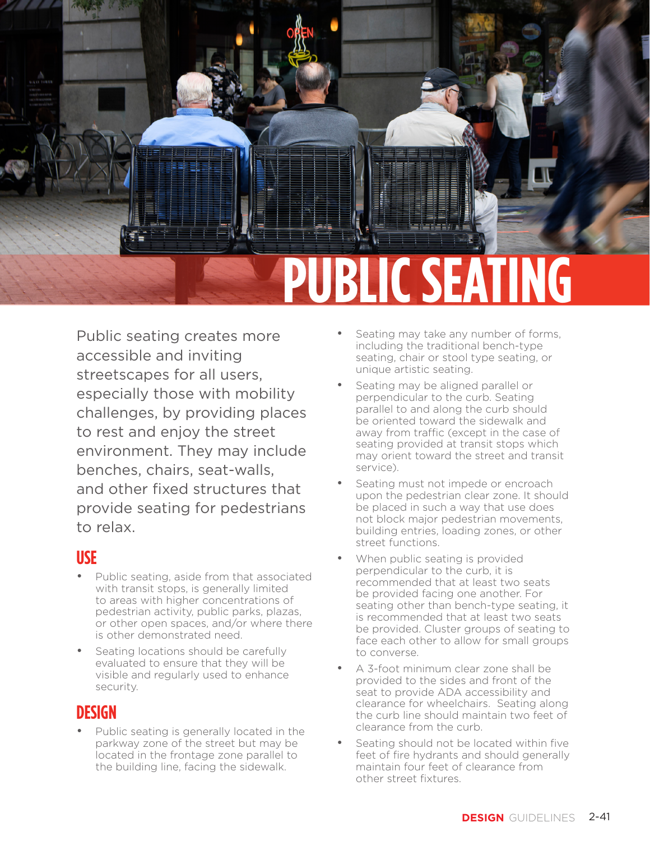

Public seating creates more accessible and inviting streetscapes for all users, especially those with mobility challenges, by providing places to rest and enjoy the street environment. They may include benches, chairs, seat-walls, and other fixed structures that provide seating for pedestrians to relax.

## **USE**

- Public seating, aside from that associated with transit stops, is generally limited to areas with higher concentrations of pedestrian activity, public parks, plazas, or other open spaces, and/or where there is other demonstrated need.
- Seating locations should be carefully evaluated to ensure that they will be visible and regularly used to enhance security.

## **DESIGN**

Public seating is generally located in the parkway zone of the street but may be located in the frontage zone parallel to the building line, facing the sidewalk.

- Seating may take any number of forms, including the traditional bench-type seating, chair or stool type seating, or unique artistic seating.
- Seating may be aligned parallel or perpendicular to the curb. Seating parallel to and along the curb should be oriented toward the sidewalk and away from traffic (except in the case of seating provided at transit stops which may orient toward the street and transit service).
- Seating must not impede or encroach upon the pedestrian clear zone. It should be placed in such a way that use does not block major pedestrian movements, building entries, loading zones, or other street functions.
- When public seating is provided perpendicular to the curb, it is recommended that at least two seats be provided facing one another. For seating other than bench-type seating, it is recommended that at least two seats be provided. Cluster groups of seating to face each other to allow for small groups to converse.
- A 3-foot minimum clear zone shall be provided to the sides and front of the seat to provide ADA accessibility and clearance for wheelchairs. Seating along the curb line should maintain two feet of clearance from the curb.
- Seating should not be located within five feet of fire hydrants and should generally maintain four feet of clearance from other street fixtures.